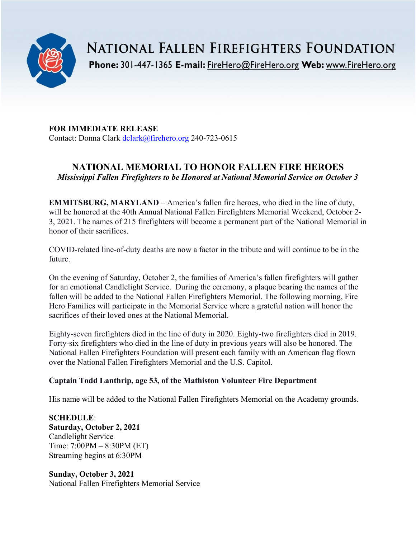

**NATIONAL FALLEN FIREFIGHTERS FOUNDATION** 

Phone: 301-447-1365 E-mail: FireHero@FireHero.org Web: www.FireHero.org

**FOR IMMEDIATE RELEASE** Contact: Donna Clark [dclark@firehero.org](mailto:dclark@firehero.org) 240-723-0615

# **NATIONAL MEMORIAL TO HONOR FALLEN FIRE HEROES** *Mississippi Fallen Firefighters to be Honored at National Memorial Service on October 3*

**EMMITSBURG, MARYLAND** – America's fallen fire heroes, who died in the line of duty, will be honored at the 40th Annual National Fallen Firefighters Memorial Weekend, October 2- 3, 2021. The names of 215 firefighters will become a permanent part of the National Memorial in honor of their sacrifices.

COVID-related line-of-duty deaths are now a factor in the tribute and will continue to be in the future.

On the evening of Saturday, October 2, the families of America's fallen firefighters will gather for an emotional Candlelight Service. During the ceremony, a plaque bearing the names of the fallen will be added to the National Fallen Firefighters Memorial. The following morning, Fire Hero Families will participate in the Memorial Service where a grateful nation will honor the sacrifices of their loved ones at the National Memorial.

Eighty-seven firefighters died in the line of duty in 2020. Eighty-two firefighters died in 2019. Forty-six firefighters who died in the line of duty in previous years will also be honored. The National Fallen Firefighters Foundation will present each family with an American flag flown over the National Fallen Firefighters Memorial and the U.S. Capitol.

# **Captain Todd Lanthrip, age 53, of the Mathiston Volunteer Fire Department**

His name will be added to the National Fallen Firefighters Memorial on the Academy grounds.

# **SCHEDULE**:

**Saturday, October 2, 2021** Candlelight Service Time: 7:00PM – 8:30PM (ET) Streaming begins at 6:30PM

**Sunday, October 3, 2021** National Fallen Firefighters Memorial Service